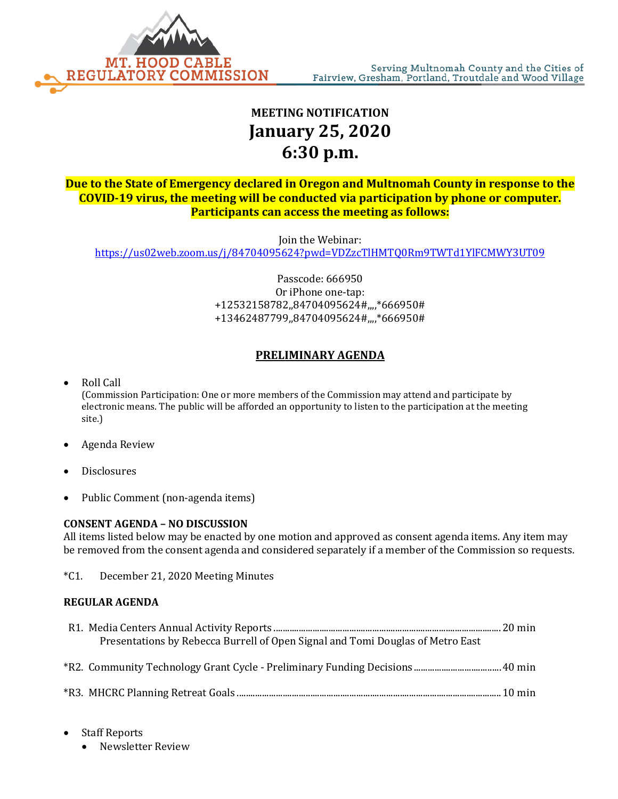

## **MEETING NOTIFICATION January 25, 2020 6:30 p.m.**

**Due to the State of Emergency declared in Oregon and Multnomah County in response to the COVID-19 virus, the meeting will be conducted via participation by phone or computer. Participants can access the meeting as follows:**

Join the Webinar:

<https://us02web.zoom.us/j/84704095624?pwd=VDZzcTlHMTQ0Rm9TWTd1YlFCMWY3UT09>

Passcode: 666950 Or iPhone one-tap: +12532158782,,84704095624#,,,,\*666950# +13462487799,,84704095624#,,,,\*666950#

## **PRELIMINARY AGENDA**

- Roll Call (Commission Participation: One or more members of the Commission may attend and participate by electronic means. The public will be afforded an opportunity to listen to the participation at the meeting site.)
- Agenda Review
- **Disclosures**
- Public Comment (non-agenda items)

## **CONSENT AGENDA – NO DISCUSSION**

All items listed below may be enacted by one motion and approved as consent agenda items. Any item may be removed from the consent agenda and considered separately if a member of the Commission so requests.

\*C1. December 21, 2020 Meeting Minutes

## **REGULAR AGENDA**

| Presentations by Rebecca Burrell of Open Signal and Tomi Douglas of Metro East |  |
|--------------------------------------------------------------------------------|--|
|                                                                                |  |
|                                                                                |  |
|                                                                                |  |
|                                                                                |  |
|                                                                                |  |

- Staff Reports
	- Newsletter Review